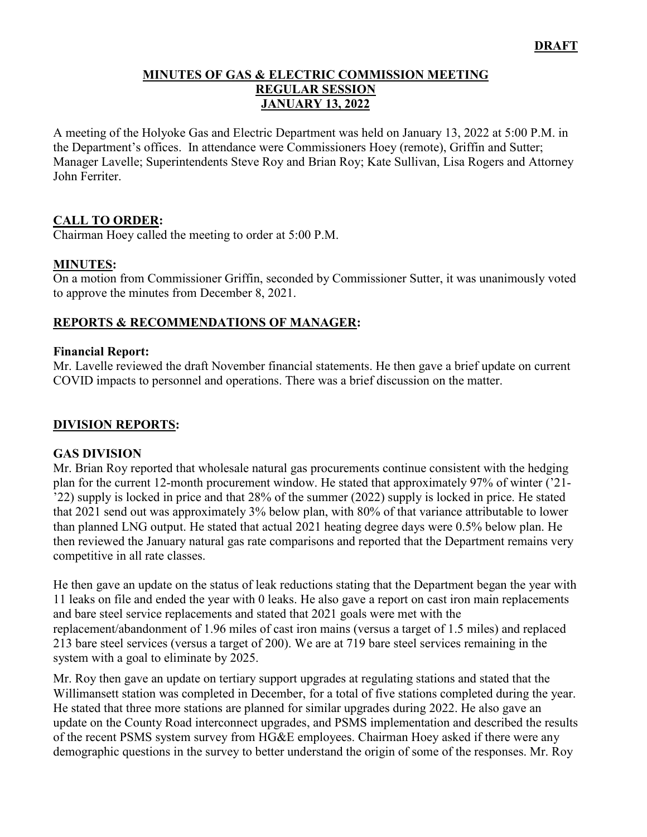#### **MINUTES OF GAS & ELECTRIC COMMISSION MEETING REGULAR SESSION JANUARY 13, 2022**

A meeting of the Holyoke Gas and Electric Department was held on January 13, 2022 at 5:00 P.M. in the Department's offices. In attendance were Commissioners Hoey (remote), Griffin and Sutter; Manager Lavelle; Superintendents Steve Roy and Brian Roy; Kate Sullivan, Lisa Rogers and Attorney John Ferriter.

## **CALL TO ORDER:**

Chairman Hoey called the meeting to order at 5:00 P.M.

### **MINUTES:**

On a motion from Commissioner Griffin, seconded by Commissioner Sutter, it was unanimously voted to approve the minutes from December 8, 2021.

## **REPORTS & RECOMMENDATIONS OF MANAGER:**

#### **Financial Report:**

Mr. Lavelle reviewed the draft November financial statements. He then gave a brief update on current COVID impacts to personnel and operations. There was a brief discussion on the matter.

### **DIVISION REPORTS:**

#### **GAS DIVISION**

Mr. Brian Roy reported that wholesale natural gas procurements continue consistent with the hedging plan for the current 12-month procurement window. He stated that approximately 97% of winter ('21- '22) supply is locked in price and that 28% of the summer (2022) supply is locked in price. He stated that 2021 send out was approximately 3% below plan, with 80% of that variance attributable to lower than planned LNG output. He stated that actual 2021 heating degree days were 0.5% below plan. He then reviewed the January natural gas rate comparisons and reported that the Department remains very competitive in all rate classes.

He then gave an update on the status of leak reductions stating that the Department began the year with 11 leaks on file and ended the year with 0 leaks. He also gave a report on cast iron main replacements and bare steel service replacements and stated that 2021 goals were met with the replacement/abandonment of 1.96 miles of cast iron mains (versus a target of 1.5 miles) and replaced 213 bare steel services (versus a target of 200). We are at 719 bare steel services remaining in the system with a goal to eliminate by 2025.

Mr. Roy then gave an update on tertiary support upgrades at regulating stations and stated that the Willimansett station was completed in December, for a total of five stations completed during the year. He stated that three more stations are planned for similar upgrades during 2022. He also gave an update on the County Road interconnect upgrades, and PSMS implementation and described the results of the recent PSMS system survey from HG&E employees. Chairman Hoey asked if there were any demographic questions in the survey to better understand the origin of some of the responses. Mr. Roy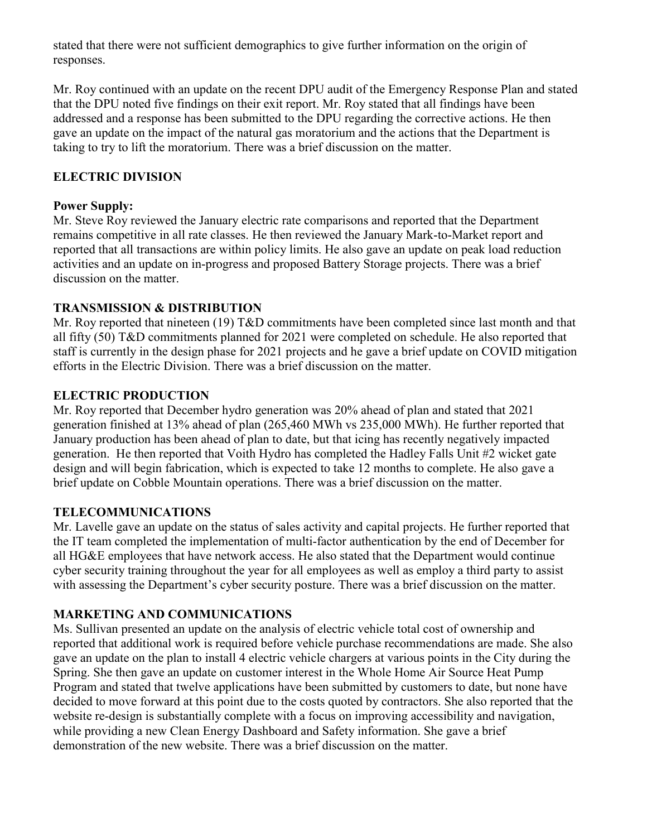stated that there were not sufficient demographics to give further information on the origin of responses.

Mr. Roy continued with an update on the recent DPU audit of the Emergency Response Plan and stated that the DPU noted five findings on their exit report. Mr. Roy stated that all findings have been addressed and a response has been submitted to the DPU regarding the corrective actions. He then gave an update on the impact of the natural gas moratorium and the actions that the Department is taking to try to lift the moratorium. There was a brief discussion on the matter.

## **ELECTRIC DIVISION**

### **Power Supply:**

Mr. Steve Roy reviewed the January electric rate comparisons and reported that the Department remains competitive in all rate classes. He then reviewed the January Mark-to-Market report and reported that all transactions are within policy limits. He also gave an update on peak load reduction activities and an update on in-progress and proposed Battery Storage projects. There was a brief discussion on the matter.

## **TRANSMISSION & DISTRIBUTION**

Mr. Roy reported that nineteen (19) T&D commitments have been completed since last month and that all fifty (50) T&D commitments planned for 2021 were completed on schedule. He also reported that staff is currently in the design phase for 2021 projects and he gave a brief update on COVID mitigation efforts in the Electric Division. There was a brief discussion on the matter.

## **ELECTRIC PRODUCTION**

Mr. Roy reported that December hydro generation was 20% ahead of plan and stated that 2021 generation finished at 13% ahead of plan (265,460 MWh vs 235,000 MWh). He further reported that January production has been ahead of plan to date, but that icing has recently negatively impacted generation. He then reported that Voith Hydro has completed the Hadley Falls Unit #2 wicket gate design and will begin fabrication, which is expected to take 12 months to complete. He also gave a brief update on Cobble Mountain operations. There was a brief discussion on the matter.

## **TELECOMMUNICATIONS**

Mr. Lavelle gave an update on the status of sales activity and capital projects. He further reported that the IT team completed the implementation of multi-factor authentication by the end of December for all HG&E employees that have network access. He also stated that the Department would continue cyber security training throughout the year for all employees as well as employ a third party to assist with assessing the Department's cyber security posture. There was a brief discussion on the matter.

## **MARKETING AND COMMUNICATIONS**

Ms. Sullivan presented an update on the analysis of electric vehicle total cost of ownership and reported that additional work is required before vehicle purchase recommendations are made. She also gave an update on the plan to install 4 electric vehicle chargers at various points in the City during the Spring. She then gave an update on customer interest in the Whole Home Air Source Heat Pump Program and stated that twelve applications have been submitted by customers to date, but none have decided to move forward at this point due to the costs quoted by contractors. She also reported that the website re-design is substantially complete with a focus on improving accessibility and navigation, while providing a new Clean Energy Dashboard and Safety information. She gave a brief demonstration of the new website. There was a brief discussion on the matter.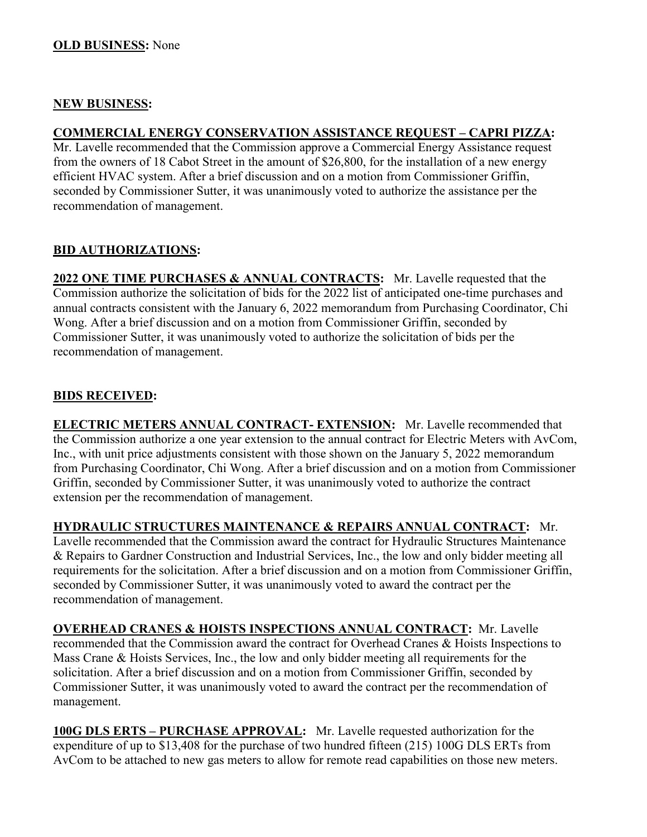#### **NEW BUSINESS:**

## **COMMERCIAL ENERGY CONSERVATION ASSISTANCE REQUEST – CAPRI PIZZA:**

Mr. Lavelle recommended that the Commission approve a Commercial Energy Assistance request from the owners of 18 Cabot Street in the amount of \$26,800, for the installation of a new energy efficient HVAC system. After a brief discussion and on a motion from Commissioner Griffin, seconded by Commissioner Sutter, it was unanimously voted to authorize the assistance per the recommendation of management.

## **BID AUTHORIZATIONS:**

**2022 ONE TIME PURCHASES & ANNUAL CONTRACTS:** Mr. Lavelle requested that the Commission authorize the solicitation of bids for the 2022 list of anticipated one-time purchases and annual contracts consistent with the January 6, 2022 memorandum from Purchasing Coordinator, Chi Wong. After a brief discussion and on a motion from Commissioner Griffin, seconded by Commissioner Sutter, it was unanimously voted to authorize the solicitation of bids per the recommendation of management.

## **BIDS RECEIVED:**

**ELECTRIC METERS ANNUAL CONTRACT- EXTENSION:** Mr. Lavelle recommended that the Commission authorize a one year extension to the annual contract for Electric Meters with AvCom, Inc., with unit price adjustments consistent with those shown on the January 5, 2022 memorandum from Purchasing Coordinator, Chi Wong. After a brief discussion and on a motion from Commissioner Griffin, seconded by Commissioner Sutter, it was unanimously voted to authorize the contract extension per the recommendation of management.

**HYDRAULIC STRUCTURES MAINTENANCE & REPAIRS ANNUAL CONTRACT:** Mr. Lavelle recommended that the Commission award the contract for Hydraulic Structures Maintenance & Repairs to Gardner Construction and Industrial Services, Inc., the low and only bidder meeting all requirements for the solicitation. After a brief discussion and on a motion from Commissioner Griffin, seconded by Commissioner Sutter, it was unanimously voted to award the contract per the recommendation of management.

**OVERHEAD CRANES & HOISTS INSPECTIONS ANNUAL CONTRACT:** Mr. Lavelle recommended that the Commission award the contract for Overhead Cranes & Hoists Inspections to Mass Crane & Hoists Services, Inc., the low and only bidder meeting all requirements for the solicitation. After a brief discussion and on a motion from Commissioner Griffin, seconded by Commissioner Sutter, it was unanimously voted to award the contract per the recommendation of management.

**100G DLS ERTS – PURCHASE APPROVAL:** Mr. Lavelle requested authorization for the expenditure of up to \$13,408 for the purchase of two hundred fifteen (215) 100G DLS ERTs from AvCom to be attached to new gas meters to allow for remote read capabilities on those new meters.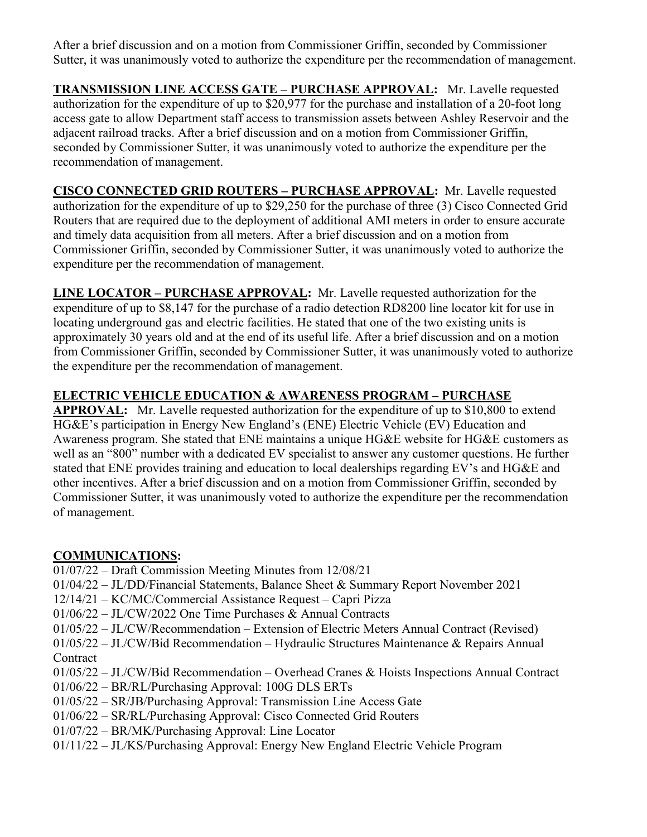After a brief discussion and on a motion from Commissioner Griffin, seconded by Commissioner Sutter, it was unanimously voted to authorize the expenditure per the recommendation of management.

**TRANSMISSION LINE ACCESS GATE – PURCHASE APPROVAL:** Mr. Lavelle requested authorization for the expenditure of up to \$20,977 for the purchase and installation of a 20-foot long access gate to allow Department staff access to transmission assets between Ashley Reservoir and the adjacent railroad tracks. After a brief discussion and on a motion from Commissioner Griffin, seconded by Commissioner Sutter, it was unanimously voted to authorize the expenditure per the recommendation of management.

**CISCO CONNECTED GRID ROUTERS – PURCHASE APPROVAL:** Mr. Lavelle requested authorization for the expenditure of up to \$29,250 for the purchase of three (3) Cisco Connected Grid Routers that are required due to the deployment of additional AMI meters in order to ensure accurate and timely data acquisition from all meters. After a brief discussion and on a motion from Commissioner Griffin, seconded by Commissioner Sutter, it was unanimously voted to authorize the expenditure per the recommendation of management.

**LINE LOCATOR – PURCHASE APPROVAL:** Mr. Lavelle requested authorization for the expenditure of up to \$8,147 for the purchase of a radio detection RD8200 line locator kit for use in locating underground gas and electric facilities. He stated that one of the two existing units is approximately 30 years old and at the end of its useful life. After a brief discussion and on a motion from Commissioner Griffin, seconded by Commissioner Sutter, it was unanimously voted to authorize the expenditure per the recommendation of management.

# **ELECTRIC VEHICLE EDUCATION & AWARENESS PROGRAM – PURCHASE**

**APPROVAL:** Mr. Lavelle requested authorization for the expenditure of up to \$10,800 to extend HG&E's participation in Energy New England's (ENE) Electric Vehicle (EV) Education and Awareness program. She stated that ENE maintains a unique HG&E website for HG&E customers as well as an "800" number with a dedicated EV specialist to answer any customer questions. He further stated that ENE provides training and education to local dealerships regarding EV's and HG&E and other incentives. After a brief discussion and on a motion from Commissioner Griffin, seconded by Commissioner Sutter, it was unanimously voted to authorize the expenditure per the recommendation of management.

## **COMMUNICATIONS:**

- 01/07/22 Draft Commission Meeting Minutes from 12/08/21
- 01/04/22 JL/DD/Financial Statements, Balance Sheet & Summary Report November 2021
- 12/14/21 KC/MC/Commercial Assistance Request Capri Pizza
- 01/06/22 JL/CW/2022 One Time Purchases & Annual Contracts
- 01/05/22 JL/CW/Recommendation Extension of Electric Meters Annual Contract (Revised)
- 01/05/22 JL/CW/Bid Recommendation Hydraulic Structures Maintenance & Repairs Annual **Contract**
- 01/05/22 JL/CW/Bid Recommendation Overhead Cranes & Hoists Inspections Annual Contract
- 01/06/22 BR/RL/Purchasing Approval: 100G DLS ERTs
- 01/05/22 SR/JB/Purchasing Approval: Transmission Line Access Gate
- 01/06/22 SR/RL/Purchasing Approval: Cisco Connected Grid Routers
- 01/07/22 BR/MK/Purchasing Approval: Line Locator
- 01/11/22 JL/KS/Purchasing Approval: Energy New England Electric Vehicle Program